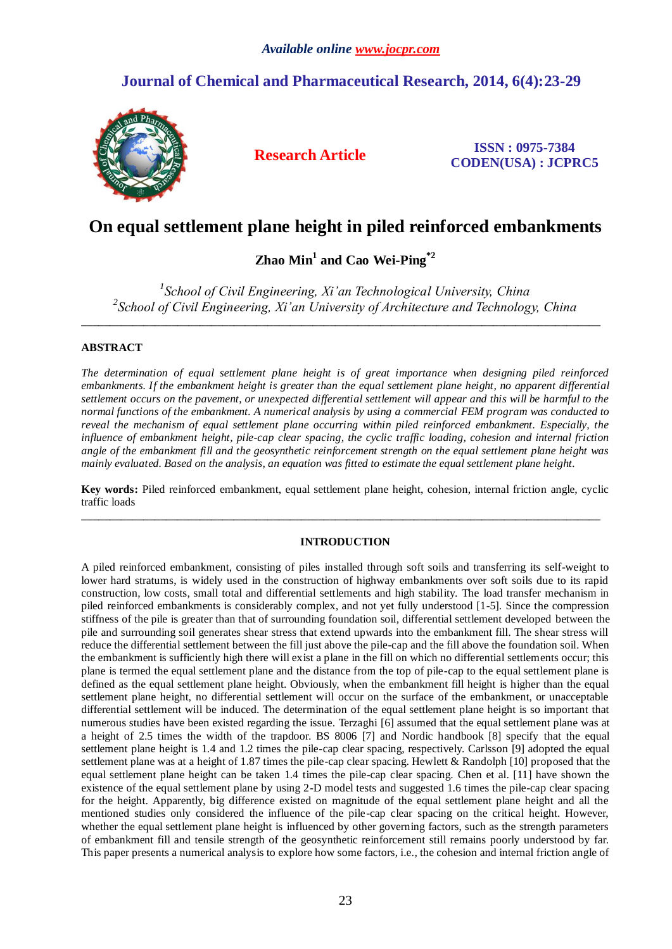# *Available online www.jocpr.com*

# **Journal of Chemical and Pharmaceutical Research, 2014, 6(4):23-29**



**Research Article ISSN : 0975-7384 CODEN(USA) : JCPRC5**

# **On equal settlement plane height in piled reinforced embankments**

**Zhao Min<sup>1</sup> and Cao Wei-Ping\*2**

*1 School of Civil Engineering, Xi'an Technological University, China 2 School of Civil Engineering, Xi'an University of Architecture and Technology, China*

\_\_\_\_\_\_\_\_\_\_\_\_\_\_\_\_\_\_\_\_\_\_\_\_\_\_\_\_\_\_\_\_\_\_\_\_\_\_\_\_\_\_\_\_\_\_\_\_\_\_\_\_\_\_\_\_\_\_\_\_\_\_\_\_\_\_\_\_\_\_\_\_\_\_\_\_\_\_\_\_\_\_\_\_\_\_\_\_\_\_\_\_

# **ABSTRACT**

*The determination of equal settlement plane height is of great importance when designing piled reinforced embankments. If the embankment height is greater than the equal settlement plane height, no apparent differential settlement occurs on the pavement, or unexpected differential settlement will appear and this will be harmful to the normal functions of the embankment. A numerical analysis by using a commercial FEM program was conducted to reveal the mechanism of equal settlement plane occurring within piled reinforced embankment. Especially, the influence of embankment height, pile-cap clear spacing, the cyclic traffic loading, cohesion and internal friction angle of the embankment fill and the geosynthetic reinforcement strength on the equal settlement plane height was mainly evaluated. Based on the analysis, an equation was fitted to estimate the equal settlement plane height.*

**Key words:** Piled reinforced embankment, equal settlement plane height, cohesion, internal friction angle, cyclic traffic loads

\_\_\_\_\_\_\_\_\_\_\_\_\_\_\_\_\_\_\_\_\_\_\_\_\_\_\_\_\_\_\_\_\_\_\_\_\_\_\_\_\_\_\_\_\_\_\_\_\_\_\_\_\_\_\_\_\_\_\_\_\_\_\_\_\_\_\_\_\_\_\_\_\_\_\_\_\_\_\_\_\_\_\_\_\_\_\_\_\_\_\_\_

#### **INTRODUCTION**

A piled reinforced embankment, consisting of piles installed through soft soils and transferring its self-weight to lower hard stratums, is widely used in the construction of highway embankments over soft soils due to its rapid construction, low costs, small total and differential settlements and high stability. The load transfer mechanism in piled reinforced embankments is considerably complex, and not yet fully understood [1-5]. Since the compression stiffness of the pile is greater than that of surrounding foundation soil, differential settlement developed between the pile and surrounding soil generates shear stress that extend upwards into the embankment fill. The shear stress will reduce the differential settlement between the fill just above the pile-cap and the fill above the foundation soil. When the embankment is sufficiently high there will exist a plane in the fill on which no differential settlements occur; this plane is termed the equal settlement plane and the distance from the top of pile-cap to the equal settlement plane is defined as the equal settlement plane height. Obviously, when the embankment fill height is higher than the equal settlement plane height, no differential settlement will occur on the surface of the embankment, or unacceptable differential settlement will be induced. The determination of the equal settlement plane height is so important that numerous studies have been existed regarding the issue. Terzaghi [6] assumed that the equal settlement plane was at a height of 2.5 times the width of the trapdoor. BS 8006 [7] and Nordic handbook [8] specify that the equal settlement plane height is 1.4 and 1.2 times the pile-cap clear spacing, respectively. Carlsson [9] adopted the equal settlement plane was at a height of 1.87 times the pile-cap clear spacing. Hewlett & Randolph [10] proposed that the equal settlement plane height can be taken 1.4 times the pile-cap clear spacing. Chen et al. [11] have shown the existence of the equal settlement plane by using 2-D model tests and suggested 1.6 times the pile-cap clear spacing for the height. Apparently, big difference existed on magnitude of the equal settlement plane height and all the mentioned studies only considered the influence of the pile-cap clear spacing on the critical height. However, whether the equal settlement plane height is influenced by other governing factors, such as the strength parameters of embankment fill and tensile strength of the geosynthetic reinforcement still remains poorly understood by far. This paper presents a numerical analysis to explore how some factors, i.e., the cohesion and internal friction angle of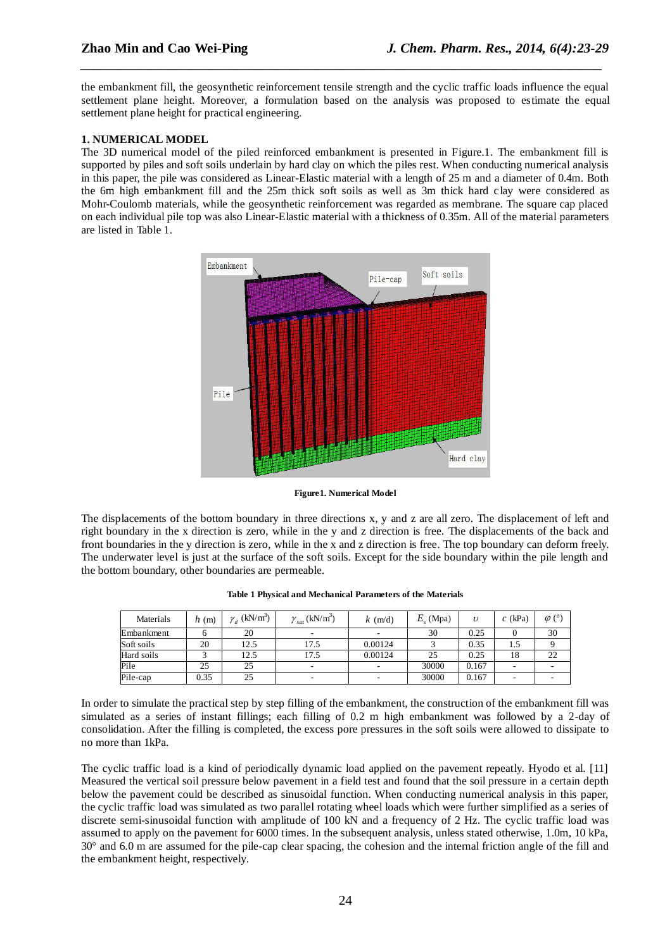the embankment fill, the geosynthetic reinforcement tensile strength and the cyclic traffic loads influence the equal settlement plane height. Moreover, a formulation based on the analysis was proposed to estimate the equal settlement plane height for practical engineering.

*\_\_\_\_\_\_\_\_\_\_\_\_\_\_\_\_\_\_\_\_\_\_\_\_\_\_\_\_\_\_\_\_\_\_\_\_\_\_\_\_\_\_\_\_\_\_\_\_\_\_\_\_\_\_\_\_\_\_\_\_\_\_\_\_\_\_\_\_\_\_\_\_\_\_\_\_\_*

# **1. NUMERICAL MODEL**

The 3D numerical model of the piled reinforced embankment is presented in Figure.1. The embankment fill is supported by piles and soft soils underlain by hard clay on which the piles rest. When conducting numerical analysis in this paper, the pile was considered as Linear-Elastic material with a length of 25 m and a diameter of 0.4m. Both the 6m high embankment fill and the 25m thick soft soils as well as 3m thick hard clay were considered as Mohr-Coulomb materials, while the geosynthetic reinforcement was regarded as membrane. The square cap placed on each individual pile top was also Linear-Elastic material with a thickness of 0.35m. All of the material parameters are listed in Table 1.



**Figure1. Numerical Model**

The displacements of the [bottom boundary](http://dict.cnki.net/dict_result.aspx?searchword=%e5%ba%95%e9%83%a8%e8%be%b9%e7%95%8c&tjType=sentence&style=&t=bottom+boundary) in three directions x, y and z are all zero. The displacement of left and right boundary in the x direction is zero, while in the y and z direction is free. The displacements of the back and front boundaries in the y direction is zero, while in the x and z direction is free. The top boundary can deform freely. The underwater level is just at the surface of the soft soils. Except for the side boundary within the pile length and the bottom boundary, other boundaries are permeable.

| Materials  | h(m) | , $(kN/m^3)$ | $(kN/m^3)$<br>$v_{\rm sat}$ | $k \text{ (m/d)}$ | $E_{\rm c}$ (Mpa) | $\boldsymbol{\iota}$ | $c$ (kPa)                | $\varphi$ ( $\gamma$ |
|------------|------|--------------|-----------------------------|-------------------|-------------------|----------------------|--------------------------|----------------------|
| Embankment |      | 20           | $\overline{\phantom{a}}$    |                   | 30                | 0.25                 |                          | 30                   |
| Soft soils | 20   | 12.5         | 17.5                        | 0.00124           |                   | 0.35                 | 1.5                      |                      |
| Hard soils |      | 12.5         | 17.5                        | 0.00124           | 25                | 0.25                 | 18                       | 22                   |
| Pile       | 25   | 25           | $\sim$                      |                   | 30000             | 0.167                |                          |                      |
| Pile-cap   | 0.35 | 25           | $\overline{\phantom{a}}$    |                   | 30000             | 0.167                | $\overline{\phantom{a}}$ |                      |

**Table 1 Physical and Mechanical Parameters of the Materials**

In order to simulate the practical step by step filling of the embankment, the construction of the embankment fill was simulated as a series of instant fillings; each filling of 0.2 m high embankment was followed by a 2-day of consolidation. After the filling is completed, the excess pore pressures in the soft soils were allowed to dissipate to no more than 1kPa.

The cyclic traffic load is a kind of periodically dynamic load applied on the pavement repeatly. Hyodo et al. [11] Measured the vertical soil pressure below pavement in a field test and found that the soil pressure in a certain depth below the pavement could be described as sinusoidal function. When conducting numerical analysis in this paper, the cyclic traffic load was simulated as two parallel rotating wheel loads which were further simplified as a series of discrete semi-sinusoidal function with amplitude of 100 kN and a frequency of 2 Hz. The cyclic traffic load was assumed to apply on the pavement for 6000 times. In the subsequent analysis, unless stated otherwise, 1.0m, 10 kPa, 30° and 6.0 m are assumed for the pile-cap clear spacing, the cohesion and the internal friction angle of the fill and the embankment height, respectively.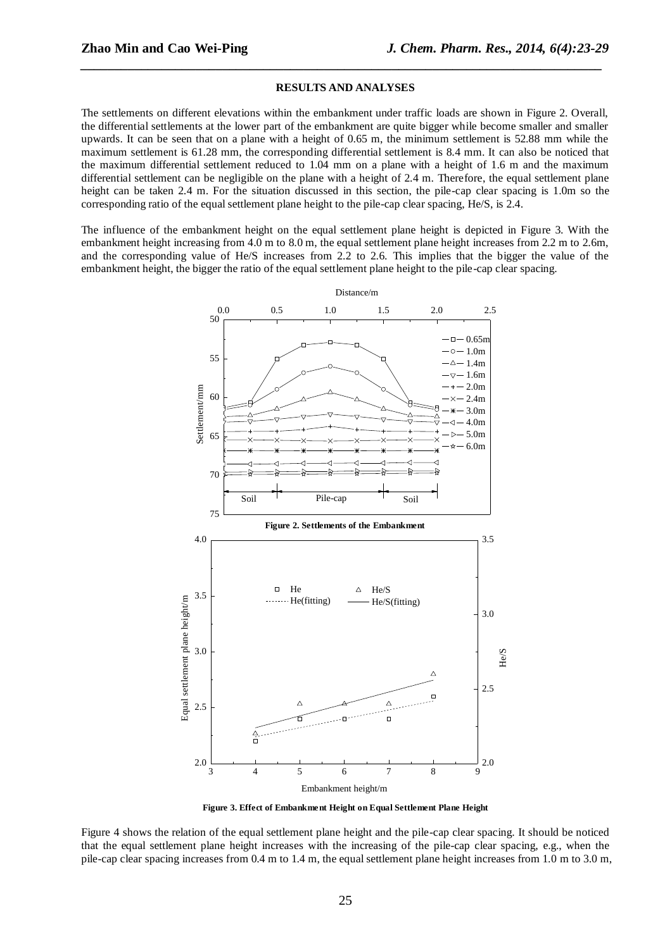#### **RESULTS AND ANALYSES**

*\_\_\_\_\_\_\_\_\_\_\_\_\_\_\_\_\_\_\_\_\_\_\_\_\_\_\_\_\_\_\_\_\_\_\_\_\_\_\_\_\_\_\_\_\_\_\_\_\_\_\_\_\_\_\_\_\_\_\_\_\_\_\_\_\_\_\_\_\_\_\_\_\_\_\_\_\_*

The settlements on different elevations within the embankment under traffic loads are shown in Figure 2. Overall, the differential settlements at the lower part of the embankment are quite bigger while become smaller and smaller upwards. It can be seen that on a plane with a height of 0.65 m, the minimum settlement is 52.88 mm while the maximum settlement is 61.28 mm, the corresponding differential settlement is 8.4 mm. It can also be noticed that the maximum differential settlement reduced to 1.04 mm on a plane with a height of 1.6 m and the maximum differential settlement can be negligible on the plane with a height of 2.4 m. Therefore, the equal settlement plane height can be taken 2.4 m. For the situation discussed in this section, the pile-cap clear spacing is 1.0m so the corresponding ratio of the equal settlement plane height to the pile-cap clear spacing, He/S, is 2.4.

The influence of the embankment height on the equal settlement plane height is depicted in Figure 3. With the embankment height increasing from 4.0 m to 8.0 m, the equal settlement plane height increases from 2.2 m to 2.6m, and the corresponding value of He/S increases from 2.2 to 2.6. This implies that the bigger the value of the embankment height, the bigger the ratio of the equal settlement plane height to the pile-cap clear spacing.



**Figure 3. Effect of Embankment Height on Equal Settlement Plane Height**

Figure 4 shows the relation of the equal settlement plane height and the pile-cap clear spacing. It should be noticed that the equal settlement plane height increases with the increasing of the pile-cap clear spacing, e.g., when the pile-cap clear spacing increases from 0.4 m to 1.4 m, the equal settlement plane height increases from 1.0 m to 3.0 m,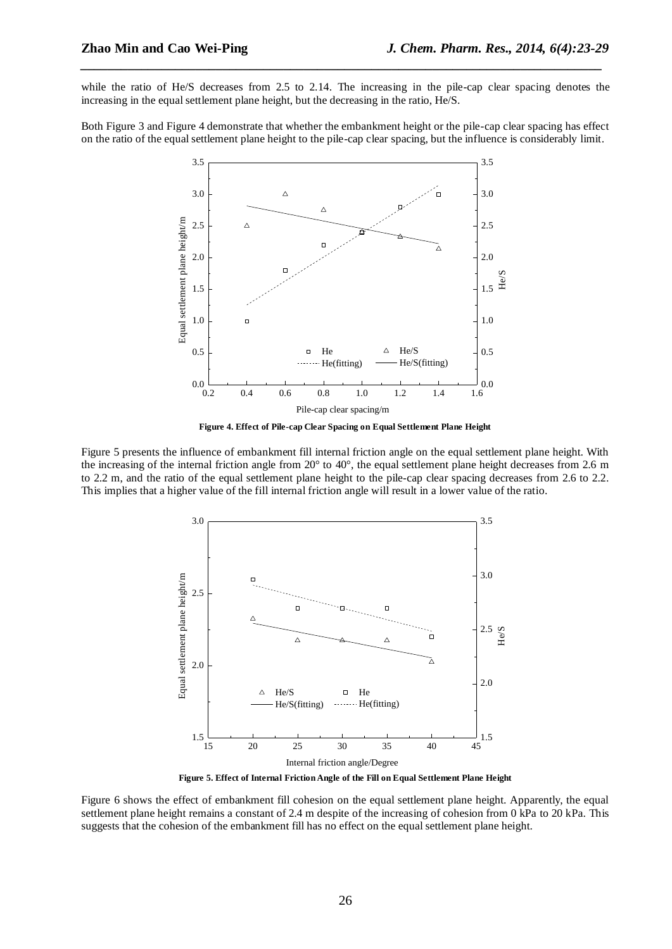while the ratio of He/S decreases from 2.5 to 2.14. The increasing in the pile-cap clear spacing denotes the increasing in the equal settlement plane height, but the decreasing in the ratio, He/S.

*\_\_\_\_\_\_\_\_\_\_\_\_\_\_\_\_\_\_\_\_\_\_\_\_\_\_\_\_\_\_\_\_\_\_\_\_\_\_\_\_\_\_\_\_\_\_\_\_\_\_\_\_\_\_\_\_\_\_\_\_\_\_\_\_\_\_\_\_\_\_\_\_\_\_\_\_\_*

Both Figure 3 and Figure 4 demonstrate that whether the embankment height or the pile-cap clear spacing has effect on the ratio of the equal settlement plane height to the pile-cap clear spacing, but the influence is considerably limit.





Figure 5 presents the influence of embankment fill internal friction angle on the equal settlement plane height. With the increasing of the internal friction angle from 20 $^{\circ}$  to 40 $^{\circ}$ , the equal settlement plane height decreases from 2.6 m to 2.2 m, and the ratio of the equal settlement plane height to the pile-cap clear spacing decreases from 2.6 to 2.2. This implies that a higher value of the fill internal friction angle will result in a lower value of the ratio.



**Figure 5. Effect of Internal Friction Angle of the Fill on Equal Settlement Plane Height**

Figure 6 shows the effect of embankment fill cohesion on the equal settlement plane height. Apparently, the equal settlement plane height remains a constant of 2.4 m despite of the increasing of cohesion from 0 kPa to 20 kPa. This suggests that the cohesion of the embankment fill has no effect on the equal settlement plane height.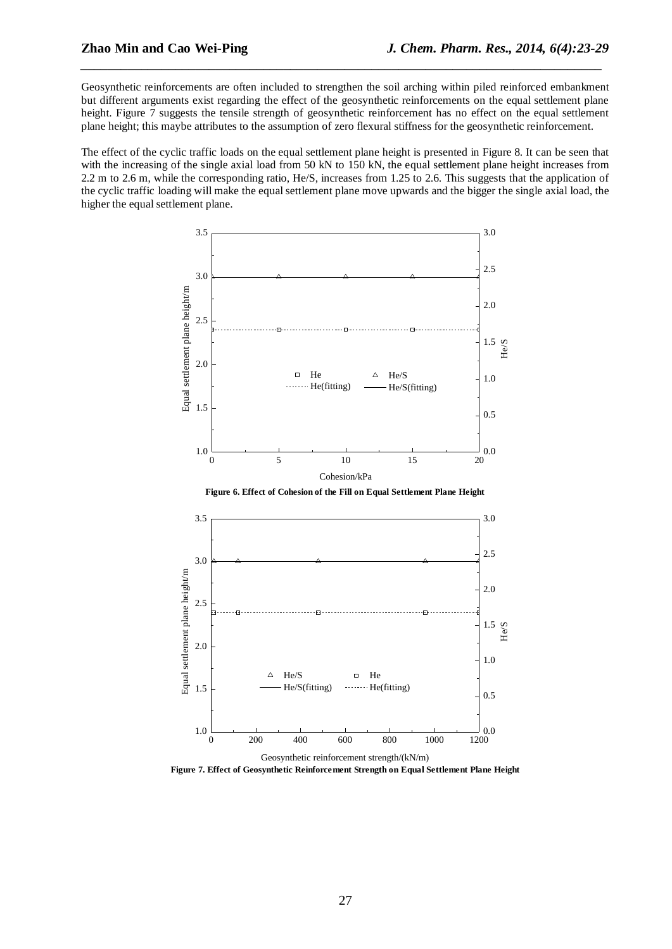Geosynthetic reinforcements are often included to strengthen the soil arching within piled reinforced embankment but different arguments exist regarding the effect of the geosynthetic reinforcements on the equal settlement plane height. Figure 7 suggests the tensile strength of geosynthetic reinforcement has no effect on the equal settlement plane height; this maybe attributes to the assumption of zero flexural stiffness for the geosynthetic reinforcement.

*\_\_\_\_\_\_\_\_\_\_\_\_\_\_\_\_\_\_\_\_\_\_\_\_\_\_\_\_\_\_\_\_\_\_\_\_\_\_\_\_\_\_\_\_\_\_\_\_\_\_\_\_\_\_\_\_\_\_\_\_\_\_\_\_\_\_\_\_\_\_\_\_\_\_\_\_\_*

The effect of the cyclic traffic loads on the equal settlement plane height is presented in Figure 8. It can be seen that with the increasing of the single axial load from 50 kN to 150 kN, the equal settlement plane height increases from 2.2 m to 2.6 m, while the corresponding ratio, He/S, increases from 1.25 to 2.6. This suggests that the application of the cyclic traffic loading will make the equal settlement plane move upwards and the bigger the single axial load, the higher the equal settlement plane.



**Figure 7. Effect of Geosynthetic Reinforcement Strength on Equal Settlement Plane Height**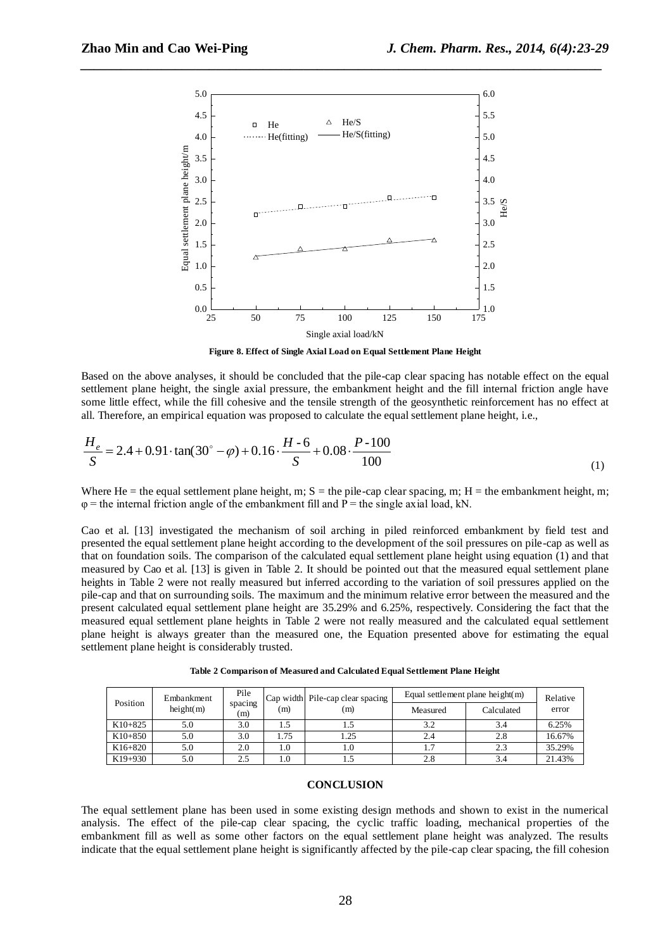

*\_\_\_\_\_\_\_\_\_\_\_\_\_\_\_\_\_\_\_\_\_\_\_\_\_\_\_\_\_\_\_\_\_\_\_\_\_\_\_\_\_\_\_\_\_\_\_\_\_\_\_\_\_\_\_\_\_\_\_\_\_\_\_\_\_\_\_\_\_\_\_\_\_\_\_\_\_*

**Figure 8. Effect of Single Axial Load on Equal Settlement Plane Height**

Based on the above analyses, it should be concluded that the pile-cap clear spacing has notable effect on the equal settlement plane height, the single axial pressure, the embankment height and the fill internal friction angle have some little effect, while the fill cohesive and the tensile strength of the geosynthetic reinforcement has no effect at all. Therefore, an empirical equation was proposed to calculate the equal settlement plane height, i.e.,

$$
\frac{H_e}{S} = 2.4 + 0.91 \cdot \tan(30^\circ - \varphi) + 0.16 \cdot \frac{H - 6}{S} + 0.08 \cdot \frac{P - 100}{100}
$$
(1)

Where He = the equal settlement plane height, m;  $S =$  the pile-cap clear spacing, m; H = the embankment height, m;  $\varphi$  = the internal friction angle of the embankment fill and P = the single axial load, kN.

Cao et al. [13] investigated the mechanism of soil arching in piled reinforced embankment by field test and presented the equal settlement plane height according to the development of the soil pressures on pile-cap as well as that on foundation soils. The comparison of the calculated equal settlement plane height using equation (1) and that measured by Cao et al. [13] is given in Table 2. It should be pointed out that the measured equal settlement plane heights in Table 2 were not really measured but inferred according to the variation of soil pressures applied on the pile-cap and that on surrounding soils. The maximum and the minimum relative error between the measured and the present calculated equal settlement plane height are 35.29% and 6.25%, respectively. Considering the fact that the measured equal settlement plane heights in Table 2 were not really measured and the calculated equal settlement plane height is always greater than the measured one, the Equation presented above for estimating the equal settlement plane height is considerably trusted.

**Table 2 Comparison of Measured and Calculated Equal Settlement Plane Height**

| Position    | Embankment<br>height(m) | Pile<br>spacing<br>(m) | (m)  | Cap width Pile-cap clear spacing<br>(m) | Equal settlement plane height $(m)$ | Relative   |        |
|-------------|-------------------------|------------------------|------|-----------------------------------------|-------------------------------------|------------|--------|
|             |                         |                        |      |                                         | Measured                            | Calculated | error  |
| $K10+825$   | 5.0                     | 3.0                    |      |                                         | 3.2                                 | 3.4        | 6.25%  |
| $K10+850$   | 5.0                     | 3.0                    | l.75 | l.25                                    | 2.4                                 | 2.8        | 16.67% |
| $K16 + 820$ | 5.0                     | 2.0                    | 1.0  | .0                                      |                                     | 2.3        | 35.29% |
| $K19+930$   | 5.0                     | 2.5                    | 1.0  |                                         | 2.8                                 | 3.4        | 21.43% |

#### **CONCLUSION**

The equal settlement plane has been used in some existing design methods and shown to exist in the numerical analysis. The effect of the pile-cap clear spacing, the cyclic traffic loading, mechanical properties of the embankment fill as well as some other factors on the equal settlement plane height was analyzed. The results indicate that the equal settlement plane height is significantly affected by the pile-cap clear spacing, the fill cohesion